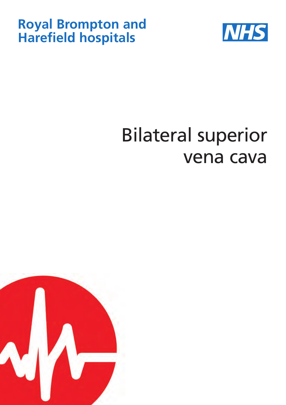## **Royal Brompton and Harefield hospitals**



# Bilateral superior vena cava

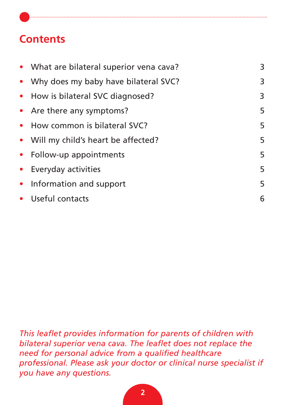### **Contents**

| • What are bilateral superior vena cava? | 3 |
|------------------------------------------|---|
| • Why does my baby have bilateral SVC?   | 3 |
| • How is bilateral SVC diagnosed?        | 3 |
| • Are there any symptoms?                | 5 |
| • How common is bilateral SVC?           | 5 |
| • Will my child's heart be affected?     | 5 |
| • Follow-up appointments                 | 5 |
| • Everyday activities                    | 5 |
| • Information and support                | 5 |
| • Useful contacts                        | 6 |

*This leaflet provides information for parents of children with bilateral superior vena cava. The leaflet does not replace the need for personal advice from a qualified healthcare professional. Please ask your doctor or clinical nurse specialist if you have any questions.*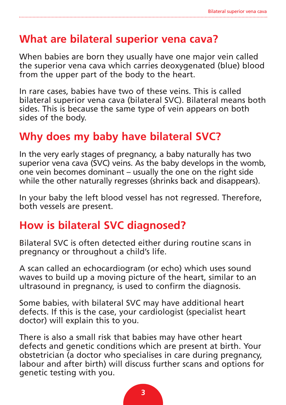#### **What are bilateral superior vena cava?**

When babies are born they usually have one major vein called the superior vena cava which carries deoxygenated (blue) blood from the upper part of the body to the heart.

In rare cases, babies have two of these veins. This is called bilateral superior vena cava (bilateral SVC). Bilateral means both sides. This is because the same type of vein appears on both sides of the body.

#### **Why does my baby have bilateral SVC?**

In the very early stages of pregnancy, a baby naturally has two superior vena cava (SVC) veins. As the baby develops in the womb, one vein becomes dominant – usually the one on the right side while the other naturally regresses (shrinks back and disappears).

In your baby the left blood vessel has not regressed. Therefore, both vessels are present.

#### **How is bilateral SVC diagnosed?**

Bilateral SVC is often detected either during routine scans in pregnancy or throughout a child's life.

A scan called an echocardiogram (or echo) which uses sound waves to build up a moving picture of the heart, similar to an ultrasound in pregnancy, is used to confirm the diagnosis.

Some babies, with bilateral SVC may have additional heart defects. If this is the case, your cardiologist (specialist heart doctor) will explain this to you.

There is also a small risk that babies may have other heart defects and genetic conditions which are present at birth. Your obstetrician (a doctor who specialises in care during pregnancy, labour and after birth) will discuss further scans and options for genetic testing with you.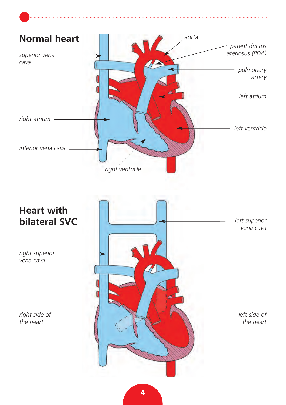

#### **Heart with bilateral SVC**

*right superior vena cava*

*right side of the heart*



*the heart*

**4**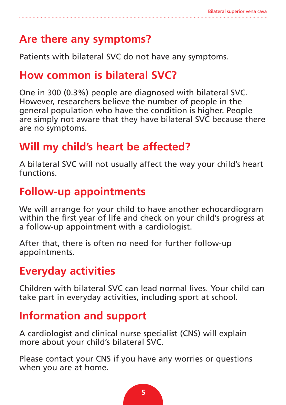#### **Are there any symptoms?**

Patients with bilateral SVC do not have any symptoms.

#### **How common is bilateral SVC?**

One in 300 (0.3%) people are diagnosed with bilateral SVC. However, researchers believe the number of people in the general population who have the condition is higher. People are simply not aware that they have bilateral SVC because there are no symptoms.

### **Will my child's heart be affected?**

A bilateral SVC will not usually affect the way your child's heart functions.

#### **Follow-up appointments**

We will arrange for your child to have another echocardiogram within the first year of life and check on your child's progress at a follow-up appointment with a cardiologist.

After that, there is often no need for further follow-up appointments.

### **Everyday activities**

Children with bilateral SVC can lead normal lives. Your child can take part in everyday activities, including sport at school.

#### **Information and support**

A cardiologist and clinical nurse specialist (CNS) will explain more about your child's bilateral SVC.

Please contact your CNS if you have any worries or questions when you are at home.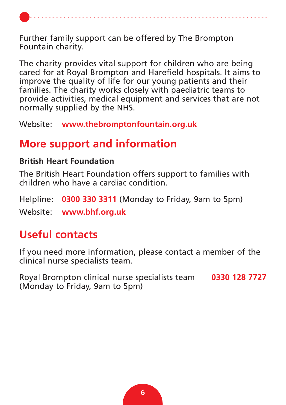Further family support can be offered by The Brompton Fountain charity.

The charity provides vital support for children who are being cared for at Royal Brompton and Harefield hospitals. It aims to improve the quality of life for our young patients and their families. The charity works closely with paediatric teams to provide activities, medical equipment and services that are not normally supplied by the NHS.

Website: **[www.thebromptonfountain.org.uk](http://www.thebromptonfountain.org.uk)**

#### **More support and information**

#### **British Heart Foundation**

The British Heart Foundation offers support to families with children who have a cardiac condition.

Helpline: **0300 330 3311** (Monday to Friday, 9am to 5pm)

Website: **[www.bhf.org.uk](http://www.bhf.org.uk)**

#### **Useful contacts**

If you need more information, please contact a member of the clinical nurse specialists team.

Royal Brompton clinical nurse specialists team **0330 128 7727** (Monday to Friday, 9am to 5pm)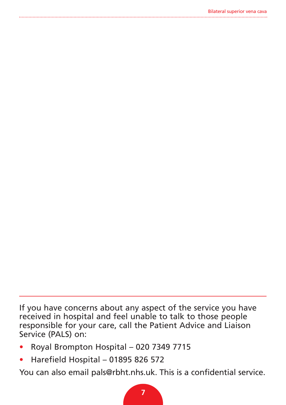If you have concerns about any aspect of the service you have received in hospital and feel unable to talk to those people responsible for your care, call the Patient Advice and Liaison Service (PALS) on:

- Royal Brompton Hospital 020 7349 7715
- Harefield Hospital 01895 826 572

You can also email [pals@rbht.nhs.uk. Th](mailto:pals@rbht.nhs.uk)is is a confidential service.